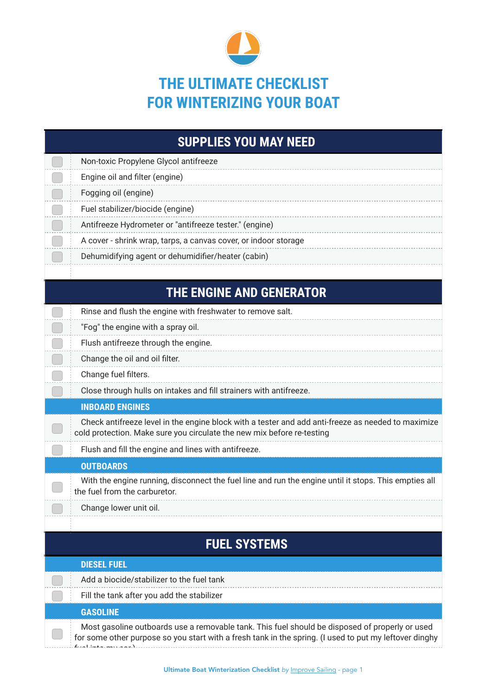

## **THE ULTIMATE CHECKLIST FOR WINTERIZING YOUR BOAT**

| <b>SUPPLIES YOU MAY NEED</b> |                                                                                                                                                                              |  |
|------------------------------|------------------------------------------------------------------------------------------------------------------------------------------------------------------------------|--|
|                              | Non-toxic Propylene Glycol antifreeze                                                                                                                                        |  |
|                              | Engine oil and filter (engine)                                                                                                                                               |  |
|                              | Fogging oil (engine)                                                                                                                                                         |  |
|                              | Fuel stabilizer/biocide (engine)                                                                                                                                             |  |
|                              | Antifreeze Hydrometer or "antifreeze tester." (engine)                                                                                                                       |  |
|                              | A cover - shrink wrap, tarps, a canvas cover, or indoor storage                                                                                                              |  |
|                              | Dehumidifying agent or dehumidifier/heater (cabin)                                                                                                                           |  |
|                              |                                                                                                                                                                              |  |
|                              | <b>THE ENGINE AND GENERATOR</b>                                                                                                                                              |  |
|                              | Rinse and flush the engine with freshwater to remove salt.                                                                                                                   |  |
|                              | "Fog" the engine with a spray oil.                                                                                                                                           |  |
|                              | Flush antifreeze through the engine.                                                                                                                                         |  |
|                              | Change the oil and oil filter.                                                                                                                                               |  |
|                              | Change fuel filters.                                                                                                                                                         |  |
|                              | Close through hulls on intakes and fill strainers with antifreeze.                                                                                                           |  |
| <b>INBOARD ENGINES</b>       |                                                                                                                                                                              |  |
|                              | Check antifreeze level in the engine block with a tester and add anti-freeze as needed to maximize<br>cold protection. Make sure you circulate the new mix before re-testing |  |
|                              | Flush and fill the engine and lines with antifreeze.                                                                                                                         |  |
|                              | <b>OUTBOARDS</b>                                                                                                                                                             |  |
|                              | With the engine running, disconnect the fuel line and run the engine until it stops. This empties all<br>the fuel from the carburetor.                                       |  |
|                              | Change lower unit oil.                                                                                                                                                       |  |
|                              |                                                                                                                                                                              |  |
| <b>FUEL SYSTEMS</b>          |                                                                                                                                                                              |  |
|                              | <b>DIESEL FUEL</b>                                                                                                                                                           |  |
|                              | Add a biocide/stabilizer to the fuel tank                                                                                                                                    |  |
|                              | Fill the tank after you add the stabilizer                                                                                                                                   |  |

## **GASOLINE**

 $\ddot{ }$ 

 $\Box$ 

Most gasoline outboards use a removable tank. This fuel should be disposed of properly or used for some other purpose so you start with a fresh tank in the spring. (I used to put my leftover dinghy fuel into my car.)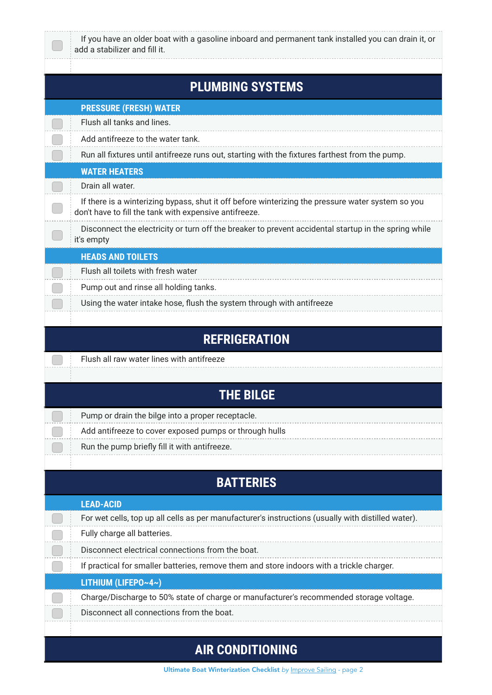| If you have an older boat with a gasoline inboard and permanent tank installed you can drain it, or<br>add a stabilizer and fill it.                        |
|-------------------------------------------------------------------------------------------------------------------------------------------------------------|
|                                                                                                                                                             |
| <b>PLUMBING SYSTEMS</b>                                                                                                                                     |
| <b>PRESSURE (FRESH) WATER</b>                                                                                                                               |
| Flush all tanks and lines.                                                                                                                                  |
| Add antifreeze to the water tank.                                                                                                                           |
| Run all fixtures until antifreeze runs out, starting with the fixtures farthest from the pump.                                                              |
| <b>WATER HEATERS</b>                                                                                                                                        |
| Drain all water.                                                                                                                                            |
| If there is a winterizing bypass, shut it off before winterizing the pressure water system so you<br>don't have to fill the tank with expensive antifreeze. |
| Disconnect the electricity or turn off the breaker to prevent accidental startup in the spring while<br>it's empty                                          |
| <b>HEADS AND TOILETS</b>                                                                                                                                    |
| Flush all toilets with fresh water                                                                                                                          |
| Pump out and rinse all holding tanks.                                                                                                                       |
| Using the water intake hose, flush the system through with antifreeze                                                                                       |
|                                                                                                                                                             |
| <b>REFRIGERATION</b>                                                                                                                                        |
| Flush all raw water lines with antifreeze                                                                                                                   |
|                                                                                                                                                             |
| <b>THE BILGE</b>                                                                                                                                            |
| Pump or drain the bilge into a proper receptacle.                                                                                                           |
| Add antifreeze to cover exposed pumps or through hulls                                                                                                      |
| Run the pump briefly fill it with antifreeze.                                                                                                               |
|                                                                                                                                                             |
| <b>BATTERIES</b>                                                                                                                                            |
| <b>LEAD-ACID</b>                                                                                                                                            |
| For wet cells, top up all cells as per manufacturer's instructions (usually with distilled water).                                                          |
| Fully charge all batteries.                                                                                                                                 |
| Disconnect electrical connections from the boat.                                                                                                            |
| If practical for smaller batteries, remove them and store indoors with a trickle charger.                                                                   |
| LITHIUM (LIFEPO~4~)                                                                                                                                         |
| Charge/Discharge to 50% state of charge or manufacturer's recommended storage voltage.                                                                      |
| Disconnect all connections from the boat.                                                                                                                   |
|                                                                                                                                                             |
| <b>AIR CONDITIONING</b>                                                                                                                                     |

Ultimate Boat Winterization Checklist by **Improve Sailing** - page 2